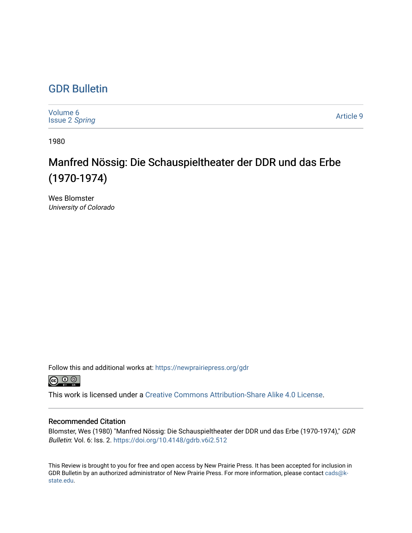## [GDR Bulletin](https://newprairiepress.org/gdr)

| Volume 6<br><b>Issue 2 Spring</b> | Article 9 |
|-----------------------------------|-----------|
|-----------------------------------|-----------|

1980

## Manfred Nössig: Die Schauspieltheater der DDR und das Erbe (1970-1974)

Wes Blomster University of Colorado

Follow this and additional works at: [https://newprairiepress.org/gdr](https://newprairiepress.org/gdr?utm_source=newprairiepress.org%2Fgdr%2Fvol6%2Fiss2%2F9&utm_medium=PDF&utm_campaign=PDFCoverPages) 



This work is licensed under a [Creative Commons Attribution-Share Alike 4.0 License.](https://creativecommons.org/licenses/by-sa/4.0/)

## Recommended Citation

Blomster, Wes (1980) "Manfred Nössig: Die Schauspieltheater der DDR und das Erbe (1970-1974)," GDR Bulletin: Vol. 6: Iss. 2. <https://doi.org/10.4148/gdrb.v6i2.512>

This Review is brought to you for free and open access by New Prairie Press. It has been accepted for inclusion in GDR Bulletin by an authorized administrator of New Prairie Press. For more information, please contact [cads@k](mailto:cads@k-state.edu)[state.edu](mailto:cads@k-state.edu).